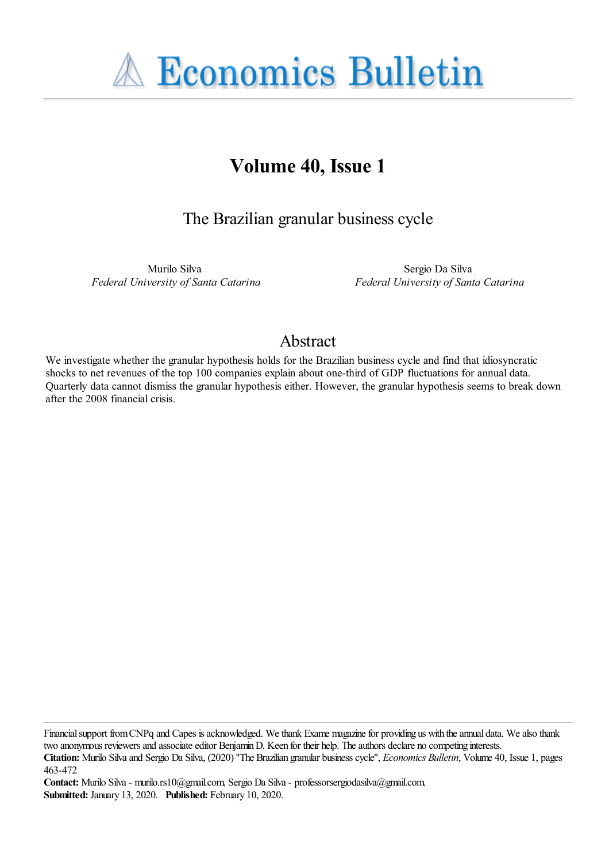**A Economics Bulletin** 

# **Volume 40, Issue 1**

The Brazilian granular business cycle

Murilo Silva *Federal University of Santa Catarina*

Sergio Da Silva *Federal University of Santa Catarina*

# Abstract

We investigate whether the granular hypothesis holds for the Brazilian business cycle and find that idiosyncratic shocks to net revenues of the top 100 companies explain about one-third of GDP fluctuations for annual data. Quarterly data cannot dismiss the granular hypothesis either. However, the granular hypothesis seems to break down after the 2008 financial crisis.

Financial support from CNPq and Capes is acknowledged. We thank Exame magazine for providing us with the annual data. We also thank two anonymous reviewers and associate editor Benjamin D. Keen for their help. The authors declare no competing interests.

**Contact:** Murilo Silva - murilo.rs10@gmail.com, Sergio Da Silva - professorsergiodasilva@gmail.com. **Submitted:** January 13, 2020. **Published:** February 10, 2020.

**Citation:** Murilo Silva and Sergio Da Silva, (2020) ''The Brazilian granular business cycle'', *Economics Bulletin*, Volume 40, Issue 1, pages 463-472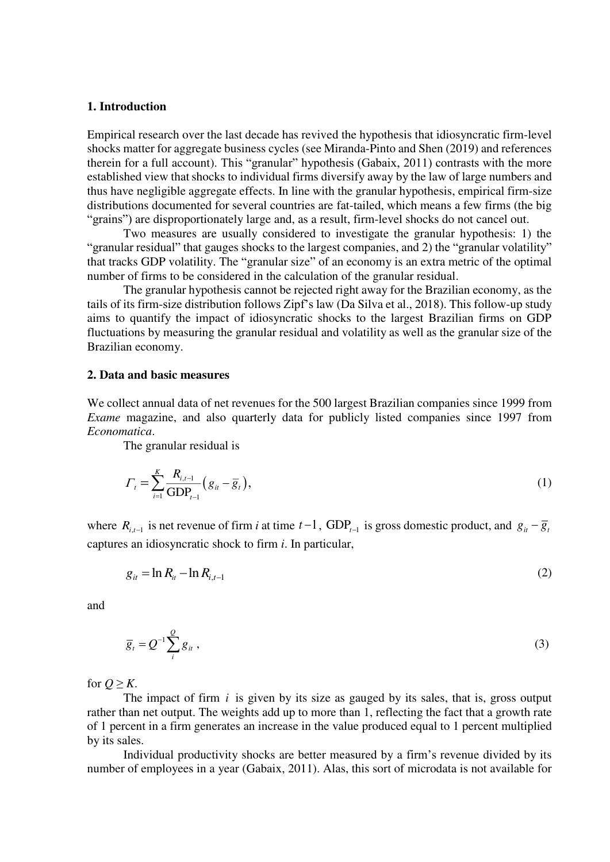#### **1. Introduction**

Empirical research over the last decade has revived the hypothesis that idiosyncratic firm-level shocks matter for aggregate business cycles (see Miranda-Pinto and Shen (2019) and references therein for a full account). This "granular" hypothesis (Gabaix, 2011) contrasts with the more established view that shocks to individual firms diversify away by the law of large numbers and thus have negligible aggregate effects. In line with the granular hypothesis, empirical firm-size distributions documented for several countries are fat-tailed, which means a few firms (the big "grains") are disproportionately large and, as a result, firm-level shocks do not cancel out.

Two measures are usually considered to investigate the granular hypothesis: 1) the "granular residual" that gauges shocks to the largest companies, and 2) the "granular volatility" that tracks GDP volatility. The "granular size" of an economy is an extra metric of the optimal number of firms to be considered in the calculation of the granular residual.

 The granular hypothesis cannot be rejected right away for the Brazilian economy, as the tails of its firm-size distribution follows Zipf's law (Da Silva et al., 2018). This follow-up study aims to quantify the impact of idiosyncratic shocks to the largest Brazilian firms on GDP fluctuations by measuring the granular residual and volatility as well as the granular size of the Brazilian economy.

## **2. Data and basic measures**

We collect annual data of net revenues for the 500 largest Brazilian companies since 1999 from *Exame* magazine, and also quarterly data for publicly listed companies since 1997 from *Economatica*.

The granular residual is

$$
\Gamma_t = \sum_{i=1}^K \frac{R_{i,t-1}}{\text{GDP}_{t-1}} \left( g_{it} - \overline{g}_t \right),\tag{1}
$$

where  $R_{i,t-1}$  is net revenue of firm *i* at time  $t-1$ , GDP<sub> $t-1$ </sub> is gross domestic product, and  $g_{it} - \overline{g}_i$ captures an idiosyncratic shock to firm *i*. In particular,

$$
g_{it} = \ln R_{it} - \ln R_{i,t-1} \tag{2}
$$

and

$$
\overline{g}_t = Q^{-1} \sum_{i}^{Q} g_{it} , \qquad (3)
$$

for  $Q \geq K$ .

The impact of firm *<sup>i</sup>* is given by its size as gauged by its sales, that is, gross output rather than net output. The weights add up to more than 1, reflecting the fact that a growth rate of 1 percent in a firm generates an increase in the value produced equal to 1 percent multiplied by its sales.

Individual productivity shocks are better measured by a firm's revenue divided by its number of employees in a year (Gabaix, 2011). Alas, this sort of microdata is not available for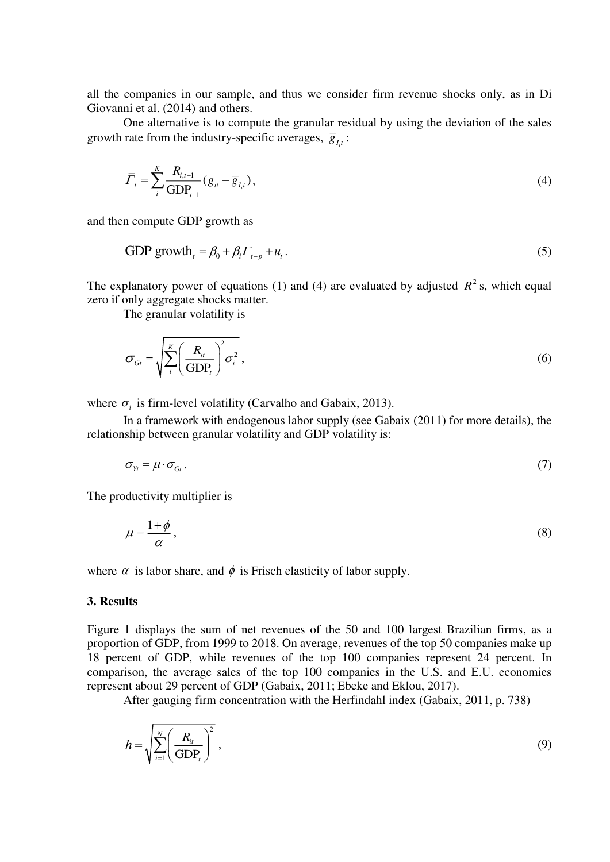all the companies in our sample, and thus we consider firm revenue shocks only, as in Di Giovanni et al. (2014) and others.

One alternative is to compute the granular residual by using the deviation of the sales growth rate from the industry-specific averages,  $\overline{g}_{I_{i}i}$ :

$$
\overline{\Gamma}_t = \sum_{i}^{K} \frac{R_{i,t-1}}{\text{GDP}_{t-1}} (g_{it} - \overline{g}_{t,t}),
$$
\n(4)

and then compute GDP growth as

GDP growth<sub>t</sub> = 
$$
\beta_0 + \beta_i \Gamma_{t-p} + u_t
$$
. (5)

The explanatory power of equations (1) and (4) are evaluated by adjusted  $R^2$  s, which equal zero if only aggregate shocks matter.

The granular volatility is

$$
\sigma_{G_t} = \sqrt{\sum_{i}^{K} \left(\frac{R_i}{GDP_t}\right)^2 \sigma_i^2},\tag{6}
$$

where  $\sigma_i$  is firm-level volatility (Carvalho and Gabaix, 2013).

 In a framework with endogenous labor supply (see Gabaix (2011) for more details), the relationship between granular volatility and GDP volatility is:

$$
\sigma_{Y_t} = \mu \cdot \sigma_{G_t} \,. \tag{7}
$$

The productivity multiplier is

$$
\mu = \frac{1+\phi}{\alpha},\tag{8}
$$

where  $\alpha$  is labor share, and  $\phi$  is Frisch elasticity of labor supply.

#### **3. Results**

Figure 1 displays the sum of net revenues of the 50 and 100 largest Brazilian firms, as a proportion of GDP, from 1999 to 2018. On average, revenues of the top 50 companies make up 18 percent of GDP, while revenues of the top 100 companies represent 24 percent. In comparison, the average sales of the top 100 companies in the U.S. and E.U. economies represent about 29 percent of GDP (Gabaix, 2011; Ebeke and Eklou, 2017).

After gauging firm concentration with the Herfindahl index (Gabaix, 2011, p. 738)

$$
h = \sqrt{\sum_{i=1}^{N} \left(\frac{R_{ii}}{\text{GDP}_t}\right)^2},\tag{9}
$$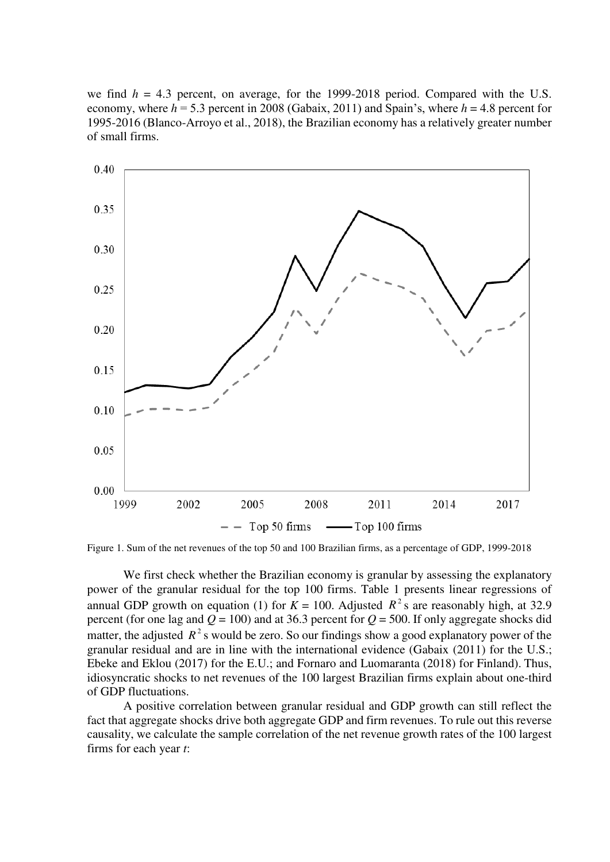we find  $h = 4.3$  percent, on average, for the 1999-2018 period. Compared with the U.S. economy, where  $h = 5.3$  percent in 2008 (Gabaix, 2011) and Spain's, where  $h = 4.8$  percent for 1995-2016 (Blanco-Arroyo et al., 2018), the Brazilian economy has a relatively greater number of small firms.



Figure 1. Sum of the net revenues of the top 50 and 100 Brazilian firms, as a percentage of GDP, 1999-2018

We first check whether the Brazilian economy is granular by assessing the explanatory power of the granular residual for the top 100 firms. Table 1 presents linear regressions of annual GDP growth on equation (1) for  $K = 100$ . Adjusted  $R^2$  s are reasonably high, at 32.9 percent (for one lag and  $Q = 100$ ) and at 36.3 percent for  $Q = 500$ . If only aggregate shocks did matter, the adjusted  $R^2$  s would be zero. So our findings show a good explanatory power of the granular residual and are in line with the international evidence (Gabaix (2011) for the U.S.; Ebeke and Eklou (2017) for the E.U.; and Fornaro and Luomaranta (2018) for Finland). Thus, idiosyncratic shocks to net revenues of the 100 largest Brazilian firms explain about one-third of GDP fluctuations.

A positive correlation between granular residual and GDP growth can still reflect the fact that aggregate shocks drive both aggregate GDP and firm revenues. To rule out this reverse causality, we calculate the sample correlation of the net revenue growth rates of the 100 largest firms for each year *t*: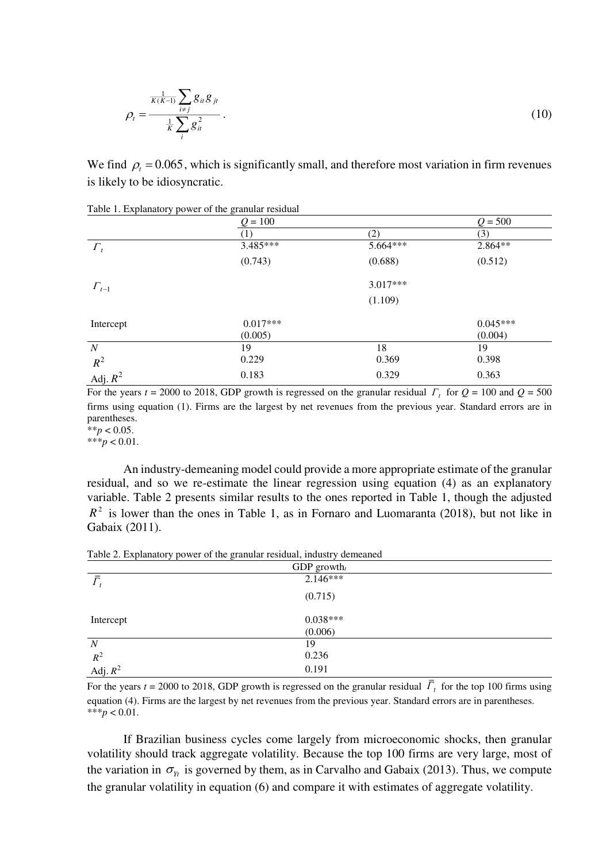$$
\rho_{t} = \frac{\frac{1}{K(K-1)} \sum_{i \neq j} g_{it} g_{jt}}{\frac{1}{K} \sum_{i} g_{it}^{2}}.
$$
\n(10)

We find  $\rho_t = 0.065$ , which is significantly small, and therefore most variation in firm revenues is likely to be idiosyncratic.

|                  | naoit is Enpianatory power or and grantenar residents<br>$Q = 100$ |          | $Q = 500$  |  |
|------------------|--------------------------------------------------------------------|----------|------------|--|
|                  | 1)                                                                 | (2)      | (3)        |  |
| $\varGamma_t$    | 3.485***                                                           | 5.664*** | 2.864**    |  |
|                  | (0.743)                                                            | (0.688)  | (0.512)    |  |
| $\Gamma_{t-1}$   |                                                                    | 3.017*** |            |  |
|                  |                                                                    | (1.109)  |            |  |
| Intercept        | $0.017***$                                                         |          | $0.045***$ |  |
|                  | (0.005)                                                            |          | (0.004)    |  |
| $\boldsymbol{N}$ | 19                                                                 | 18       | 19         |  |
| $R^2$            | 0.229                                                              | 0.369    | 0.398      |  |
| Adj. $R^2$       | 0.183                                                              | 0.329    | 0.363      |  |

Table 1. Explanatory power of the granular residual

For the years  $t = 2000$  to 2018, GDP growth is regressed on the granular residual  $\Gamma_t$  for  $Q = 100$  and  $Q = 500$ firms using equation (1). Firms are the largest by net revenues from the previous year. Standard errors are in parentheses.

 $**p < 0.05$ . \*\*\**p* < 0.01.

An industry-demeaning model could provide a more appropriate estimate of the granular residual, and so we re-estimate the linear regression using equation (4) as an explanatory variable. Table 2 presents similar results to the ones reported in Table 1, though the adjusted  $R^2$  is lower than the ones in Table 1, as in Fornaro and Luomaranta (2018), but not like in Gabaix (2011).

| GDP growth $_t$     |            |  |
|---------------------|------------|--|
| $\bar{\varGamma}$   | $2.146***$ |  |
|                     | (0.715)    |  |
| Intercept           | $0.038***$ |  |
|                     | (0.006)    |  |
| $\boldsymbol{N}$    | 19         |  |
|                     | 0.236      |  |
| $R^2$<br>Adj. $R^2$ | 0.191      |  |

Table 2. Explanatory power of the granular residual, industry demeaned

For the years  $t = 2000$  to 2018, GDP growth is regressed on the granular residual  $\Gamma_t$  for the top 100 firms using equation (4). Firms are the largest by net revenues from the previous year. Standard errors are in parentheses. \*\*\**p* < 0.01.

If Brazilian business cycles come largely from microeconomic shocks, then granular volatility should track aggregate volatility. Because the top 100 firms are very large, most of the variation in  $\sigma_{y_t}$  is governed by them, as in Carvalho and Gabaix (2013). Thus, we compute the granular volatility in equation (6) and compare it with estimates of aggregate volatility.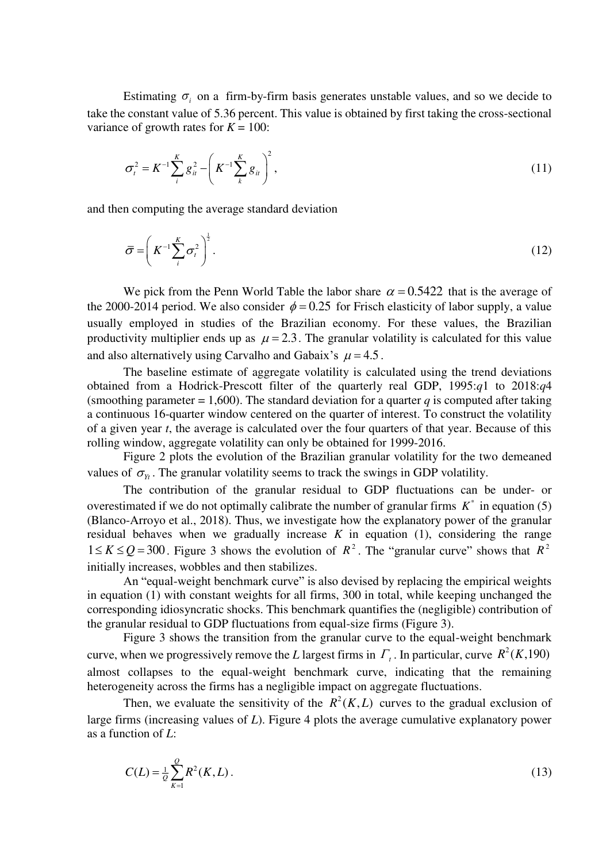Estimating  $\sigma_i$  on a firm-by-firm basis generates unstable values, and so we decide to take the constant value of 5.36 percent. This value is obtained by first taking the cross-sectional variance of growth rates for  $K = 100$ :

$$
\sigma_t^2 = K^{-1} \sum_{i}^{K} g_{it}^2 - \left( K^{-1} \sum_{k}^{K} g_{it} \right)^2, \tag{11}
$$

and then computing the average standard deviation

$$
\bar{\sigma} = \left(K^{-1}\sum_{i}^{K}\sigma_{i}^{2}\right)^{\frac{1}{2}}.
$$
\n(12)

We pick from the Penn World Table the labor share  $\alpha = 0.5422$  that is the average of the 2000-2014 period. We also consider  $\phi = 0.25$  for Frisch elasticity of labor supply, a value usually employed in studies of the Brazilian economy. For these values, the Brazilian productivity multiplier ends up as  $\mu = 2.3$ . The granular volatility is calculated for this value and also alternatively using Carvalho and Gabaix's  $\mu = 4.5$ .

The baseline estimate of aggregate volatility is calculated using the trend deviations obtained from a Hodrick-Prescott filter of the quarterly real GDP, 1995:*q*1 to 2018:*q*4 (smoothing parameter = 1,600). The standard deviation for a quarter *q* is computed after taking a continuous 16-quarter window centered on the quarter of interest. To construct the volatility of a given year *t*, the average is calculated over the four quarters of that year. Because of this rolling window, aggregate volatility can only be obtained for 1999-2016.

Figure 2 plots the evolution of the Brazilian granular volatility for the two demeaned values of  $\sigma_{v}$ . The granular volatility seems to track the swings in GDP volatility.

 The contribution of the granular residual to GDP fluctuations can be under- or overestimated if we do not optimally calibrate the number of granular firms  $K^*$  in equation (5) (Blanco-Arroyo et al., 2018). Thus, we investigate how the explanatory power of the granular residual behaves when we gradually increase  $K$  in equation  $(1)$ , considering the range  $1 \le K \le Q = 300$ . Figure 3 shows the evolution of  $R^2$ . The "granular curve" shows that  $R^2$ initially increases, wobbles and then stabilizes.

An "equal-weight benchmark curve" is also devised by replacing the empirical weights in equation (1) with constant weights for all firms, 300 in total, while keeping unchanged the corresponding idiosyncratic shocks. This benchmark quantifies the (negligible) contribution of the granular residual to GDP fluctuations from equal-size firms (Figure 3).

Figure 3 shows the transition from the granular curve to the equal-weight benchmark curve, when we progressively remove the *L* largest firms in  $\Gamma_t$ . In particular, curve  $R^2(K, 190)$ almost collapses to the equal-weight benchmark curve, indicating that the remaining heterogeneity across the firms has a negligible impact on aggregate fluctuations.

Then, we evaluate the sensitivity of the  $R^2(K,L)$  curves to the gradual exclusion of large firms (increasing values of *L*). Figure 4 plots the average cumulative explanatory power as a function of *L*:

$$
C(L) = \frac{1}{Q} \sum_{K=1}^{Q} R^2(K, L).
$$
 (13)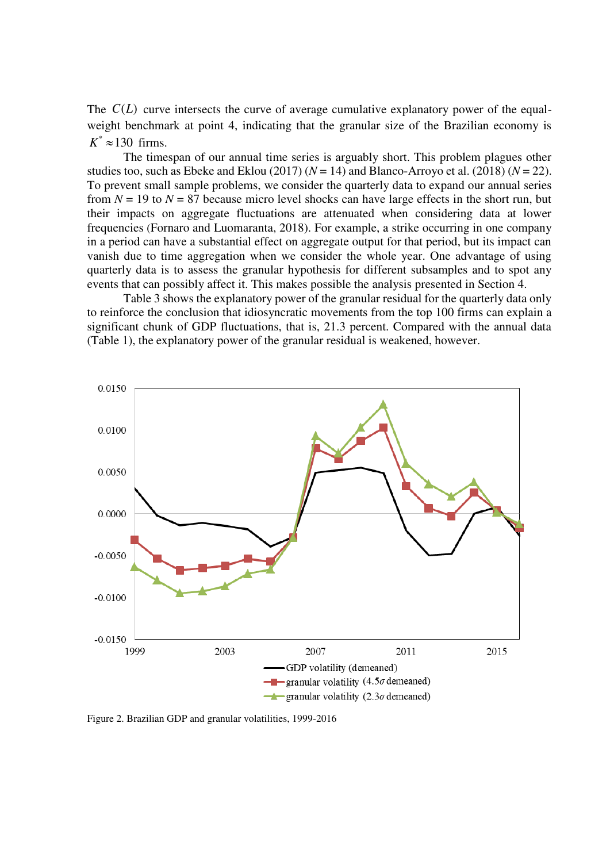The  $C(L)$  curve intersects the curve of average cumulative explanatory power of the equalweight benchmark at point 4, indicating that the granular size of the Brazilian economy is  $K^* \approx 130$  firms.

 The timespan of our annual time series is arguably short. This problem plagues other studies too, such as Ebeke and Eklou (2017)  $(N = 14)$  and Blanco-Arroyo et al. (2018)  $(N = 22)$ . To prevent small sample problems, we consider the quarterly data to expand our annual series from  $N = 19$  to  $N = 87$  because micro level shocks can have large effects in the short run, but their impacts on aggregate fluctuations are attenuated when considering data at lower frequencies (Fornaro and Luomaranta, 2018). For example, a strike occurring in one company in a period can have a substantial effect on aggregate output for that period, but its impact can vanish due to time aggregation when we consider the whole year. One advantage of using quarterly data is to assess the granular hypothesis for different subsamples and to spot any events that can possibly affect it. This makes possible the analysis presented in Section 4.

 Table 3 shows the explanatory power of the granular residual for the quarterly data only to reinforce the conclusion that idiosyncratic movements from the top 100 firms can explain a significant chunk of GDP fluctuations, that is, 21.3 percent. Compared with the annual data (Table 1), the explanatory power of the granular residual is weakened, however.



Figure 2. Brazilian GDP and granular volatilities, 1999-2016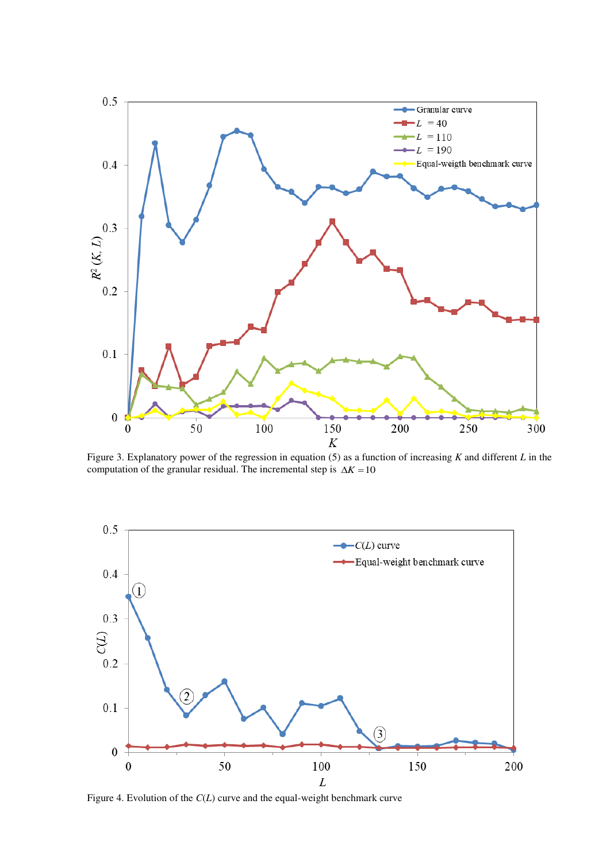

Figure 3. Explanatory power of the regression in equation (5) as a function of increasing *K* and different *L* in the computation of the granular residual. The incremental step is  $\Delta K = 10$ 

![](_page_7_Figure_2.jpeg)

Figure 4. Evolution of the *C*(*L*) curve and the equal-weight benchmark curve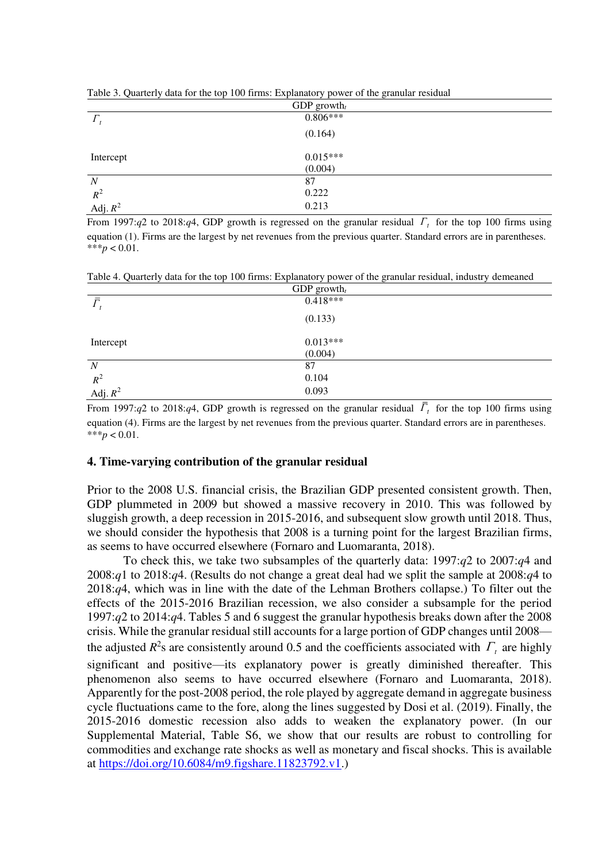| $\sim$              | $\tilde{}$ |  |
|---------------------|------------|--|
| GDP growth $_t$     |            |  |
| $\Gamma_{t}$        | $0.806***$ |  |
|                     | (0.164)    |  |
| Intercept           | $0.015***$ |  |
|                     | (0.004)    |  |
| $\boldsymbol{N}$    | 87         |  |
|                     | 0.222      |  |
| $R^2$<br>Adj. $R^2$ | 0.213      |  |
|                     |            |  |

Table 3. Quarterly data for the top 100 firms: Explanatory power of the granular residual

From 1997: $q$ 2 to 2018: $q$ 4, GDP growth is regressed on the granular residual  $\Gamma_t$  for the top 100 firms using equation (1). Firms are the largest by net revenues from the previous quarter. Standard errors are in parentheses. \*\*\**p* < 0.01.

Table 4. Quarterly data for the top 100 firms: Explanatory power of the granular residual, industry demeaned

| GDP growth $_t$   |            |  |
|-------------------|------------|--|
| $\bar{\varGamma}$ | $0.418***$ |  |
|                   | (0.133)    |  |
| Intercept         | $0.013***$ |  |
|                   | (0.004)    |  |
| $\boldsymbol{N}$  | 87         |  |
| $R^2$             | 0.104      |  |
| Adj. $R^2$        | 0.093      |  |

From 1997: $q$ 2 to 2018: $q$ 4, GDP growth is regressed on the granular residual  $\Gamma_t$  for the top 100 firms using equation (4). Firms are the largest by net revenues from the previous quarter. Standard errors are in parentheses. \*\*\**p* < 0.01.

#### **4. Time-varying contribution of the granular residual**

Prior to the 2008 U.S. financial crisis, the Brazilian GDP presented consistent growth. Then, GDP plummeted in 2009 but showed a massive recovery in 2010. This was followed by sluggish growth, a deep recession in 2015-2016, and subsequent slow growth until 2018. Thus, we should consider the hypothesis that 2008 is a turning point for the largest Brazilian firms, as seems to have occurred elsewhere (Fornaro and Luomaranta, 2018).

 To check this, we take two subsamples of the quarterly data: 1997:*q*2 to 2007:*q*4 and 2008:*q*1 to 2018:*q*4. (Results do not change a great deal had we split the sample at 2008:*q*4 to 2018:*q*4, which was in line with the date of the Lehman Brothers collapse.) To filter out the effects of the 2015-2016 Brazilian recession, we also consider a subsample for the period 1997:*q*2 to 2014:*q*4. Tables 5 and 6 suggest the granular hypothesis breaks down after the 2008 crisis. While the granular residual still accounts for a large portion of GDP changes until 2008 the adjusted  $R^2$ s are consistently around 0.5 and the coefficients associated with  $\Gamma_t$  are highly significant and positive—its explanatory power is greatly diminished thereafter. This phenomenon also seems to have occurred elsewhere (Fornaro and Luomaranta, 2018). Apparently for the post-2008 period, the role played by aggregate demand in aggregate business cycle fluctuations came to the fore, along the lines suggested by Dosi et al. (2019). Finally, the 2015-2016 domestic recession also adds to weaken the explanatory power. (In our Supplemental Material, Table S6, we show that our results are robust to controlling for commodities and exchange rate shocks as well as monetary and fiscal shocks. This is available at [https://doi.org/10.6084/m9.figshare.11823792.v1.](https://doi.org/10.6084/m9.figshare.11823792.v1))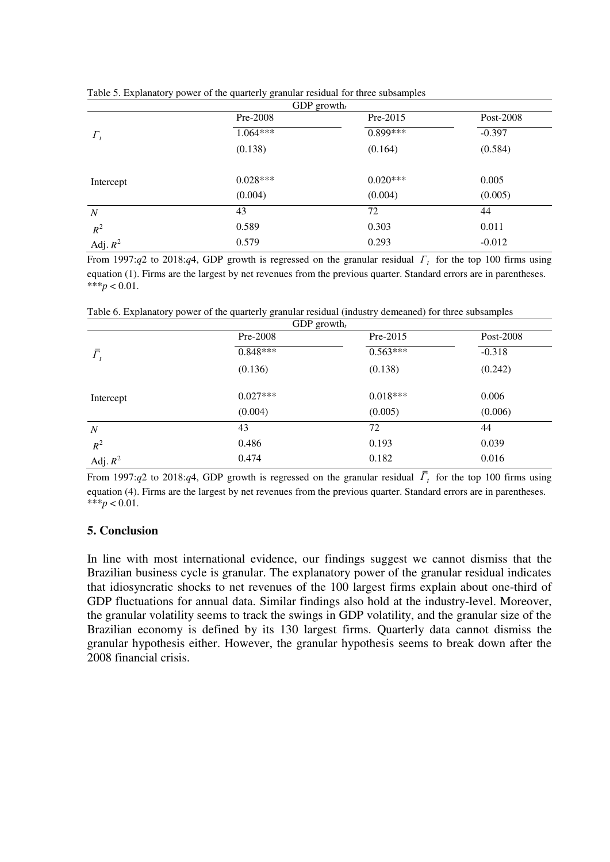| GDP growth <sub>t</sub> |            |            |           |
|-------------------------|------------|------------|-----------|
|                         | Pre-2008   | Pre-2015   | Post-2008 |
| $\Gamma_t$              | $1.064***$ | $0.899***$ | $-0.397$  |
|                         | (0.138)    | (0.164)    | (0.584)   |
| Intercept               | $0.028***$ | $0.020***$ | 0.005     |
|                         | (0.004)    | (0.004)    | (0.005)   |
| $\boldsymbol{N}$        | 43         | 72         | 44        |
| $R^2$                   | 0.589      | 0.303      | 0.011     |
| Adj. $R^2$              | 0.579      | 0.293      | $-0.012$  |

Table 5. Explanatory power of the quarterly granular residual for three subsamples

From 1997: $q$ 2 to 2018: $q$ 4, GDP growth is regressed on the granular residual  $\Gamma_t$  for the top 100 firms using equation (1). Firms are the largest by net revenues from the previous quarter. Standard errors are in parentheses.  $***p<0.01$ .

Table 6. Explanatory power of the quarterly granular residual (industry demeaned) for three subsamples

| GDP growth <sub>t</sub> |            |            |           |
|-------------------------|------------|------------|-----------|
|                         | Pre-2008   | $Pre-2015$ | Post-2008 |
| $\bar{\varGamma}_{t}$   | $0.848***$ | $0.563***$ | $-0.318$  |
|                         | (0.136)    | (0.138)    | (0.242)   |
| Intercept               | $0.027***$ | $0.018***$ | 0.006     |
|                         | (0.004)    | (0.005)    | (0.006)   |
| $\boldsymbol{N}$        | 43         | 72         | 44        |
| $R^2$                   | 0.486      | 0.193      | 0.039     |
| Adj. $R^2$              | 0.474      | 0.182      | 0.016     |

From 1997: $q$ 2 to 2018: $q$ 4, GDP growth is regressed on the granular residual  $\Gamma_t$  for the top 100 firms using equation (4). Firms are the largest by net revenues from the previous quarter. Standard errors are in parentheses. \*\*\**p* < 0.01.

## **5. Conclusion**

In line with most international evidence, our findings suggest we cannot dismiss that the Brazilian business cycle is granular. The explanatory power of the granular residual indicates that idiosyncratic shocks to net revenues of the 100 largest firms explain about one-third of GDP fluctuations for annual data. Similar findings also hold at the industry-level. Moreover, the granular volatility seems to track the swings in GDP volatility, and the granular size of the Brazilian economy is defined by its 130 largest firms. Quarterly data cannot dismiss the granular hypothesis either. However, the granular hypothesis seems to break down after the 2008 financial crisis.